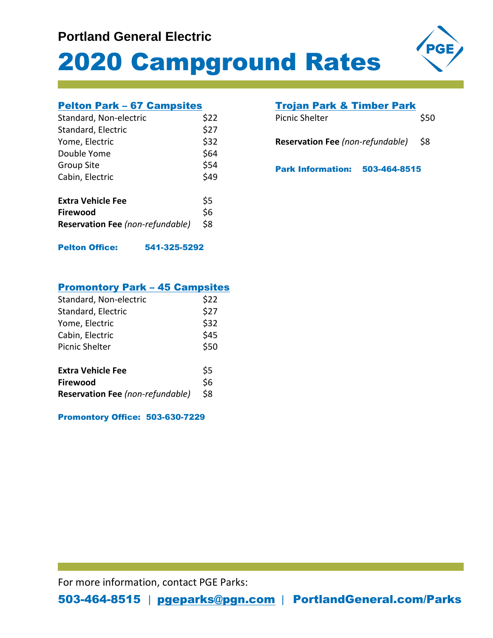## **Portland General Electric**

# 2020 Campground Rates



### Pelton Park – 67 Campsites

| Standard, Non-electric               | \$22       |
|--------------------------------------|------------|
| Standard, Electric                   | \$27       |
| Yome, Electric                       | \$32       |
| Double Yome                          | \$64       |
| <b>Group Site</b>                    | \$54       |
| Cabin, Electric                      | \$49       |
| <b>Extra Vehicle Fee</b><br>Firewood | \$5<br>\$6 |
|                                      |            |
| Reservation Fee (non-refundable)     | \$8        |

### Trojan Park & Timber Park

| <b>Park Information: 503-464-8515</b>   |      |
|-----------------------------------------|------|
| <b>Reservation Fee (non-refundable)</b> | - S8 |
| <b>Picnic Shelter</b>                   | \$50 |

#### Pelton Office: 541-325-5292

### Promontory Park – 45 Campsites

| \$22 |
|------|
| \$27 |
| \$32 |
| \$45 |
| \$50 |
| \$5  |
| \$6  |
| \$8  |
|      |

#### Promontory Office: 503-630-7229

For more information, contact PGE Parks:

503-464-8515 | [pgeparks@pgn.com](mailto:pgeparks@pgn.com) | PortlandGeneral.com/Parks